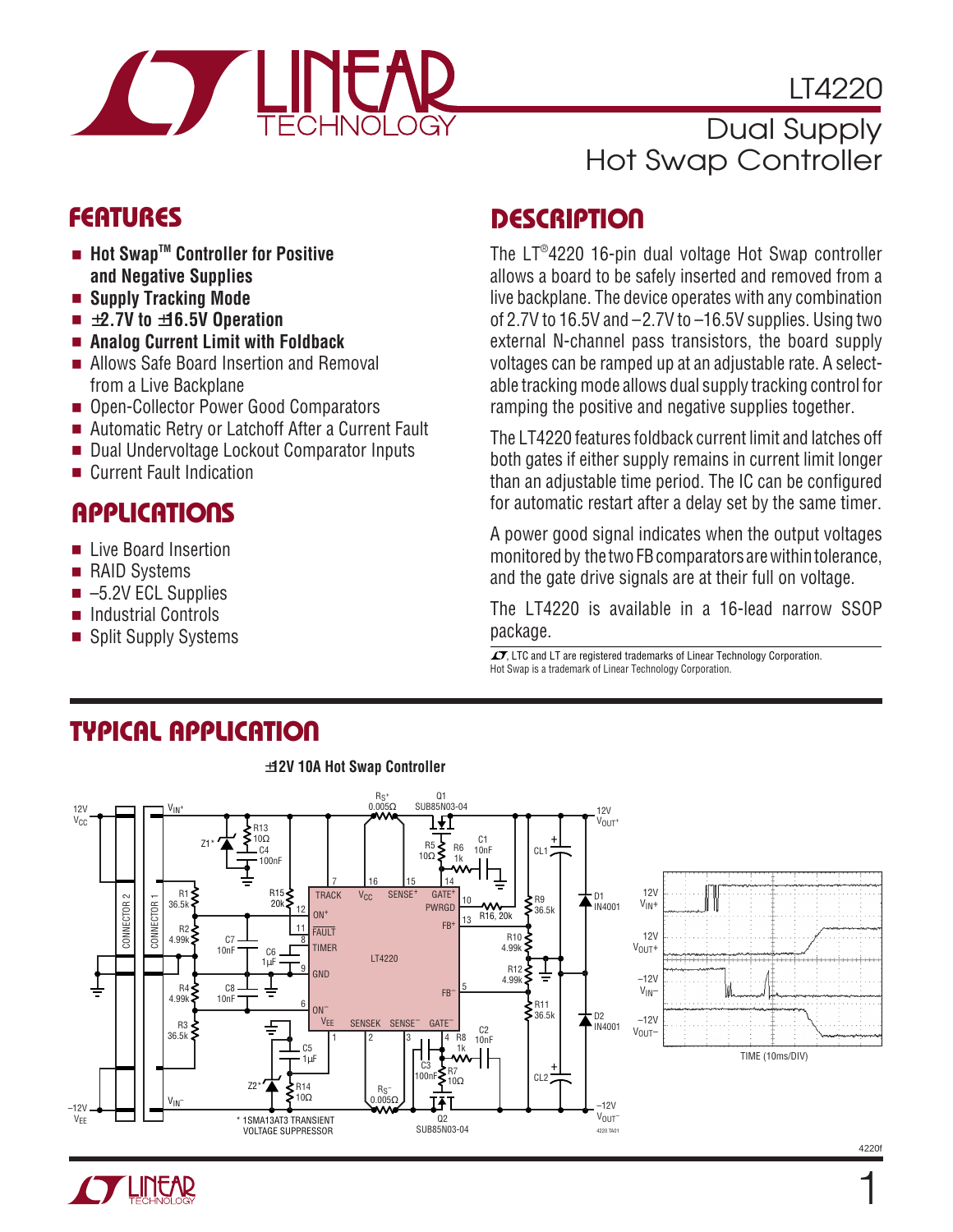

LT4220

# Dual Supply Hot Swap Controller

- **Hot SwapTM Controller for Positive and Negative Supplies**
- **Supply Tracking Mode**
- ±**2.7V to** ±**16.5V Operation**
- **Analog Current Limit with Foldback**
- Allows Safe Board Insertion and Removal from a Live Backplane
- Open-Collector Power Good Comparators
- Automatic Retry or Latchoff After a Current Fault
- Dual Undervoltage Lockout Comparator Inputs
- Current Fault Indication

# **APPLICATIONS**

- Live Board Insertion
- RAID Systems
- $\blacksquare$  –5.2V ECL Supplies
- Industrial Controls
- Split Supply Systems

# **FEATURES DESCRIPTIO <sup>U</sup>**

The LT® 4220 16-pin dual voltage Hot Swap controller allows a board to be safely inserted and removed from a live backplane. The device operates with any combination of 2.7V to 16.5V and –2.7V to –16.5V supplies. Using two external N-channel pass transistors, the board supply voltages can be ramped up at an adjustable rate. A selectable tracking mode allows dual supply tracking control for ramping the positive and negative supplies together.

The LT4220 features foldback current limit and latches off both gates if either supply remains in current limit longer than an adjustable time period. The IC can be configured for automatic restart after a delay set by the same timer.

A power good signal indicates when the output voltages monitored by the two FB comparators are within tolerance, and the gate drive signals are at their full on voltage.

The LT4220 is available in a 16-lead narrow SSOP package.

 $\overline{\mathcal{L}}$  LTC and LT are registered trademarks of Linear Technology Corporation. Hot Swap is a trademark of Linear Technology Corporation.

# **TYPICAL APPLICATION**



±**12V 10A Hot Swap Controller**



1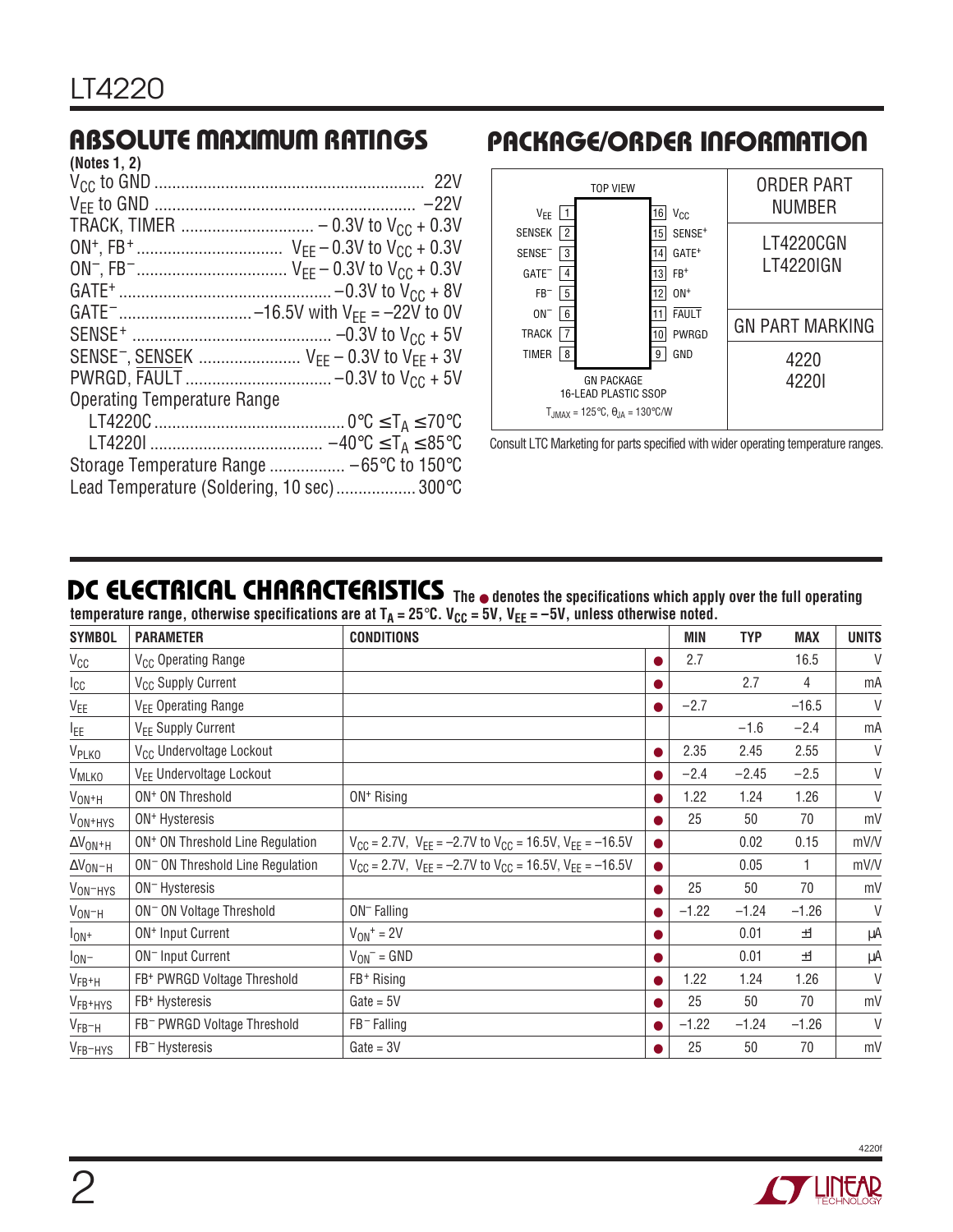| (Notes 1, 2)                                                                |
|-----------------------------------------------------------------------------|
|                                                                             |
|                                                                             |
|                                                                             |
|                                                                             |
|                                                                             |
|                                                                             |
| GATE <sup>-</sup> -16.5V with $V_{FF} = -22V$ to 0V                         |
|                                                                             |
| SENSE <sup>-</sup> , SENSEK  V <sub>FF</sub> - 0.3V to V <sub>FF</sub> + 3V |
|                                                                             |
| <b>Operating Temperature Range</b>                                          |
|                                                                             |
|                                                                             |
| Storage Temperature Range  -65°C to 150°C                                   |
| Lead Temperature (Soldering, 10 sec) 300°C                                  |

### **ABSOLUTE MAXIMUM RATINGS <sup>W</sup> <sup>W</sup> <sup>W</sup> <sup>U</sup> PACKAGE/ORDER INFORMATION <sup>U</sup> <sup>W</sup> <sup>U</sup>**



Consult LTC Marketing for parts specified with wider operating temperature ranges.

### **DC ELECTRICAL CHARACTERISTICS**

**The** ● **denotes the specifications which apply over the full operating** temperature range, otherwise specifications are at T<sub>A</sub> = 25°C. V<sub>CC</sub> = 5V, V<sub>EE</sub> = –5V, unless otherwise noted.

| <b>SYMBOL</b>                  | <b>PARAMETER</b>                             | <b>CONDITIONS</b>                                                        |           | MIN     | <b>TYP</b> | <b>MAX</b> | <b>UNITS</b> |
|--------------------------------|----------------------------------------------|--------------------------------------------------------------------------|-----------|---------|------------|------------|--------------|
| $V_{CC}$                       | V <sub>CC</sub> Operating Range              |                                                                          | $\bullet$ | 2.7     |            | 16.5       | V            |
| $I_{CC}$                       | V <sub>CC</sub> Supply Current               |                                                                          |           |         | 2.7        | 4          | mA           |
| $V_{EE}$                       | V <sub>EE</sub> Operating Range              |                                                                          | $\bullet$ | $-2.7$  |            | $-16.5$    | V            |
| I <sub>EE</sub>                | V <sub>EE</sub> Supply Current               |                                                                          |           |         | $-1.6$     | $-2.4$     | mA           |
| V <sub>PLKO</sub>              | V <sub>CC</sub> Undervoltage Lockout         |                                                                          |           | 2.35    | 2.45       | 2.55       | V            |
| <b>V<sub>MLKO</sub></b>        | V <sub>FF</sub> Undervoltage Lockout         |                                                                          |           | $-2.4$  | $-2.45$    | $-2.5$     | V            |
| $V_{ON+H}$                     | ON <sup>+</sup> ON Threshold                 | $ON+ Rising$                                                             |           | 1.22    | 1.24       | 1.26       | V            |
| V <sub>ON<sup>+</sup>HYS</sub> | ON <sup>+</sup> Hysteresis                   |                                                                          |           | 25      | 50         | 70         | mV           |
| $\Delta V_{ON^+H}$             | ON <sup>+</sup> ON Threshold Line Regulation | $V_{CC}$ = 2.7V, $V_{EE}$ = -2.7V to $V_{CC}$ = 16.5V, $V_{EE}$ = -16.5V | $\bullet$ |         | 0.02       | 0.15       | mV/V         |
| $\Delta V_{ON-H}$              | ON <sup>-</sup> ON Threshold Line Regulation | $V_{CC}$ = 2.7V, $V_{EE}$ = -2.7V to $V_{CC}$ = 16.5V, $V_{EE}$ = -16.5V | $\bullet$ |         | 0.05       |            | mV/V         |
| V <sub>ON-HYS</sub>            | ON <sup>-</sup> Hysteresis                   |                                                                          | $\bullet$ | 25      | 50         | 70         | mV           |
| $V_{ON-H}$                     | ON <sup>-</sup> ON Voltage Threshold         | $ON$ <sup>-</sup> Falling                                                |           | $-1.22$ | $-1.24$    | $-1.26$    | V            |
| $I_{ON^+}$                     | ON <sup>+</sup> Input Current                | $V_{ON}$ <sup>+</sup> = 2V                                               |           |         | 0.01       | ±1         | μA           |
| $I_{ON}$                       | ON <sup>-</sup> Input Current                | $V_{ON}$ = GND                                                           |           |         | 0.01       | ±1         | μA           |
| $V_{FB^+H}$                    | FB+ PWRGD Voltage Threshold                  | FB+Rising                                                                |           | 1.22    | 1.24       | 1.26       | V            |
| V <sub>FB+HYS</sub>            | FB+ Hysteresis                               | $Gate = 5V$                                                              |           | 25      | 50         | 70         | mV           |
| $V_{FB-H}$                     | FB <sup>-</sup> PWRGD Voltage Threshold      | $FB^-$ Falling                                                           |           | $-1.22$ | $-1.24$    | $-1.26$    | V            |
| V <sub>FB</sub> -HYS           | FB <sup>-</sup> Hysteresis                   | $Gate = 3V$                                                              |           | 25      | 50         | 70         | mV           |

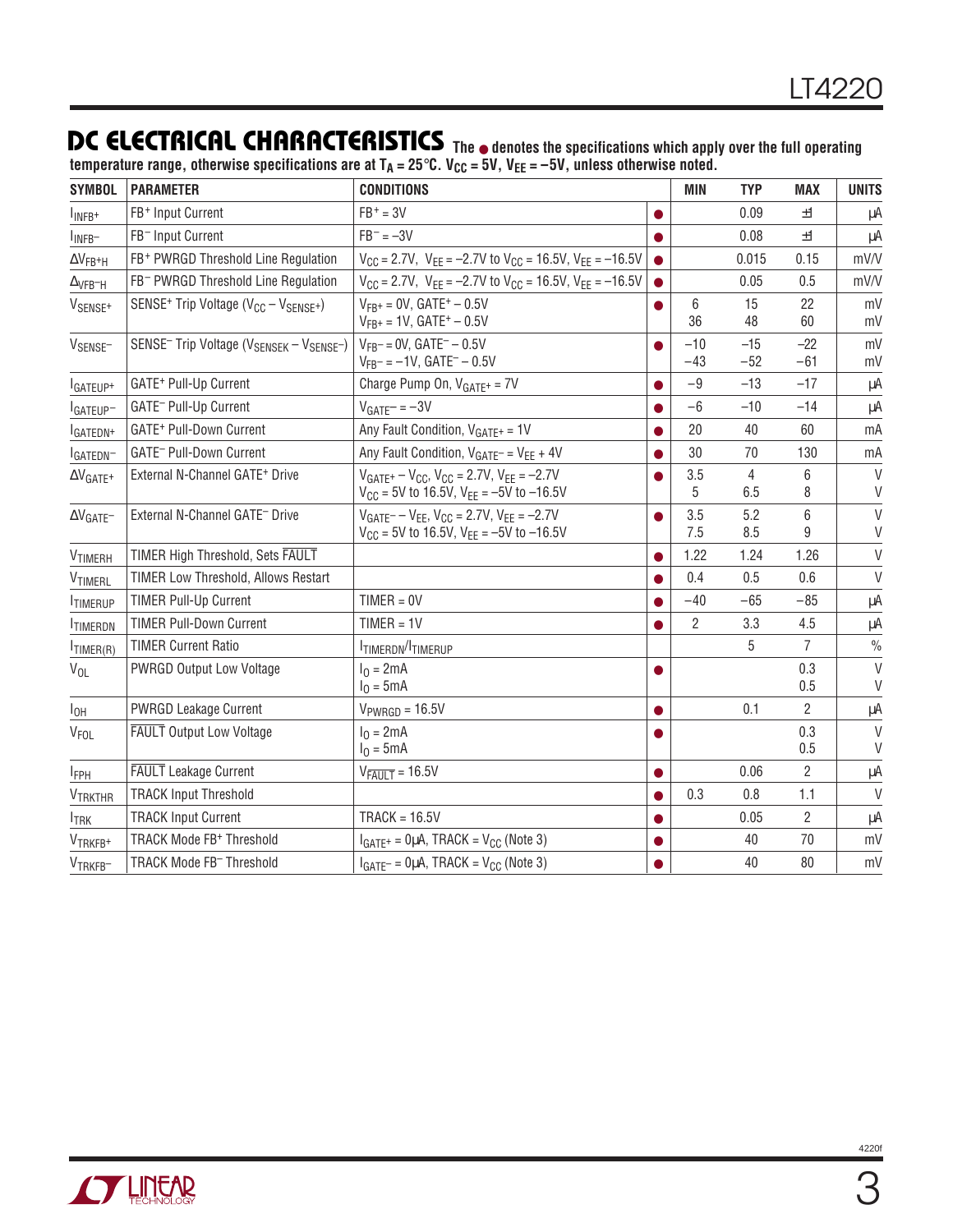### **DC ELECTRICAL CHARACTERISTICS The** ● **denotes the specifications which apply over the full operating**

temperature range, otherwise specifications are at T<sub>A</sub> = 25°C. V<sub>CC</sub> = 5V, V<sub>EE</sub> = –5V, unless otherwise noted.

| <b>SYMBOL</b>                    | <b>PARAMETER</b>                                                             | <b>CONDITIONS</b>                                                                                              |           | <b>MIN</b>     | <b>TYP</b>     | <b>MAX</b>     | <b>UNITS</b>     |
|----------------------------------|------------------------------------------------------------------------------|----------------------------------------------------------------------------------------------------------------|-----------|----------------|----------------|----------------|------------------|
| I <sub>INFB+</sub>               | FB+ Input Current                                                            | $FB+ = 3V$                                                                                                     | $\bullet$ |                | 0.09           | ±1             | μA               |
| $I_{INFB}$                       | FB <sup>-</sup> Input Current                                                | $FB^- = -3V$                                                                                                   |           |                | 0.08           | ±1             | μA               |
| $\Delta V_{FB^+H}$               | FB+ PWRGD Threshold Line Regulation                                          | $V_{CC}$ = 2.7V, $V_{EE}$ = -2.7V to $V_{CC}$ = 16.5V, $V_{EE}$ = -16.5V                                       |           |                | 0.015          | 0.15           | mV/V             |
| $\Delta$ VFB-H                   | FB <sup>-</sup> PWRGD Threshold Line Regulation                              | $V_{CC}$ = 2.7V, $V_{EE}$ = -2.7V to $V_{CC}$ = 16.5V, $V_{EE}$ = -16.5V                                       |           |                | 0.05           | 0.5            | mV/V             |
| V <sub>SENSE<sup>+</sup></sub>   | SENSE <sup>+</sup> Trip Voltage (V <sub>CC</sub> - V <sub>SENSE</sub> +)     | $V_{FR^+} = 0V$ , GATE <sup>+</sup> - 0.5V<br>$V_{FB^+}$ = 1V, GATE <sup>+</sup> - 0.5V                        |           | 6<br>36        | 15<br>48       | 22<br>60       | mV<br>mV         |
| V <sub>SENSE</sub> -             | SENSE <sup>-</sup> Trip Voltage (V <sub>SENSEK</sub> - V <sub>SENSE</sub> -) | $V_{FR}$ = 0V, GATE <sup><math>-</math></sup> - 0.5V<br>$V_{FB}$ = -1V, GATE <sup>-</sup> - 0.5V               |           | $-10$<br>$-43$ | $-15$<br>$-52$ | $-22$<br>$-61$ | mV<br>mV         |
| I <sub>GATEUP+</sub>             | GATE <sup>+</sup> Pull-Up Current                                            | Charge Pump On, $V_{GATE^+} = 7V$                                                                              |           | $-9$           | $-13$          | $-17$          | μA               |
| IGATEUP-                         | GATE <sup>-</sup> Pull-Up Current                                            | $VGATE= -3V$                                                                                                   | $\bullet$ | $-6$           | $-10$          | $-14$          | μA               |
| <sup>I</sup> GATEDN <sup>+</sup> | GATE <sup>+</sup> Pull-Down Current                                          | Any Fault Condition, $V_{GATE^+} = 1V$                                                                         |           | 20             | 40             | 60             | mA               |
| IGATEDN-                         | GATE <sup>-</sup> Pull-Down Current                                          | Any Fault Condition, $V_{GATE^-} = V_{EE} + 4V$                                                                | $\bullet$ | 30             | 70             | 130            | mA               |
| $\Delta V_{GATE}$ +              | External N-Channel GATE <sup>+</sup> Drive                                   | $V_{GATE^+} - V_{CC}$ , $V_{CC} = 2.7V$ , $V_{FF} = -2.7V$<br>$V_{CC}$ = 5V to 16.5V, $V_{EE}$ = -5V to -16.5V |           | 3.5<br>5       | 4<br>6.5       | 6<br>8         | $\vee$<br>V      |
| $\Delta V_{GATE}$                | External N-Channel GATE <sup>-</sup> Drive                                   | $V_{GATE} - V_{FF}$ , $V_{CC} = 2.7V$ , $V_{FF} = -2.7V$<br>$V_{CC}$ = 5V to 16.5V, $V_{EE}$ = -5V to -16.5V   | $\bullet$ | 3.5<br>7.5     | 5.2<br>8.5     | 6<br>9         | V<br>V           |
| V <sub>TIMERH</sub>              | TIMER High Threshold, Sets FAULT                                             |                                                                                                                | $\bullet$ | 1.22           | 1.24           | 1.26           | $\vee$           |
| VTIMERL                          | <b>TIMER Low Threshold, Allows Restart</b>                                   |                                                                                                                |           | 0.4            | 0.5            | 0.6            | $\vee$           |
| <b>ITIMERUP</b>                  | <b>TIMER Pull-Up Current</b>                                                 | $TIMER = 0V$                                                                                                   | $\bullet$ | $-40$          | $-65$          | $-85$          | μA               |
| <b>ITIMERDN</b>                  | <b>TIMER Pull-Down Current</b>                                               | $TIMER = 1V$                                                                                                   |           | $\overline{2}$ | 3.3            | 4.5            | μA               |
| $I$ TIMER(R)                     | <b>TIMER Current Ratio</b>                                                   | <b>ITIMERDN/ITIMERUP</b>                                                                                       |           |                | 5              | $\overline{7}$ | $\frac{0}{0}$    |
| $V_{OL}$                         | <b>PWRGD Output Low Voltage</b>                                              | $I_0 = 2mA$<br>$I_0 = 5mA$                                                                                     | $\bullet$ |                |                | 0.3<br>0.5     | $\vee$<br>V      |
| $I_{OH}$                         | <b>PWRGD Leakage Current</b>                                                 | $V_{PWRGB} = 16.5V$                                                                                            |           |                | 0.1            | $\overline{2}$ | μA               |
| <b>VFOL</b>                      | <b>FAULT</b> Output Low Voltage                                              | $I_0 = 2mA$<br>$I_0 = 5mA$                                                                                     | $\bullet$ |                |                | 0.3<br>0.5     | $\vee$<br>$\vee$ |
| <b>IFPH</b>                      | <b>FAULT</b> Leakage Current                                                 | $V_{\overline{FAULT}} = 16.5V$                                                                                 | $\bullet$ |                | 0.06           | $\overline{2}$ | μA               |
| <b>VTRKTHR</b>                   | <b>TRACK Input Threshold</b>                                                 |                                                                                                                | $\bullet$ | 0.3            | 0.8            | 1.1            | $\vee$           |
| <b>ITRK</b>                      | <b>TRACK Input Current</b>                                                   | $TRACK = 16.5V$                                                                                                | $\bullet$ |                | 0.05           | $\overline{2}$ | μA               |
| VTRKFB+                          | TRACK Mode FB <sup>+</sup> Threshold                                         | $I_{GATE^+}$ = 0µA, TRACK = $V_{CC}$ (Note 3)                                                                  |           |                | 40             | 70             | mV               |
| VTRKFB-                          | TRACK Mode FB <sup>-</sup> Threshold                                         | $I_{GATE^-} = 0 \mu A$ , TRACK = $V_{CC}$ (Note 3)                                                             | ●         |                | 40             | 80             | mV               |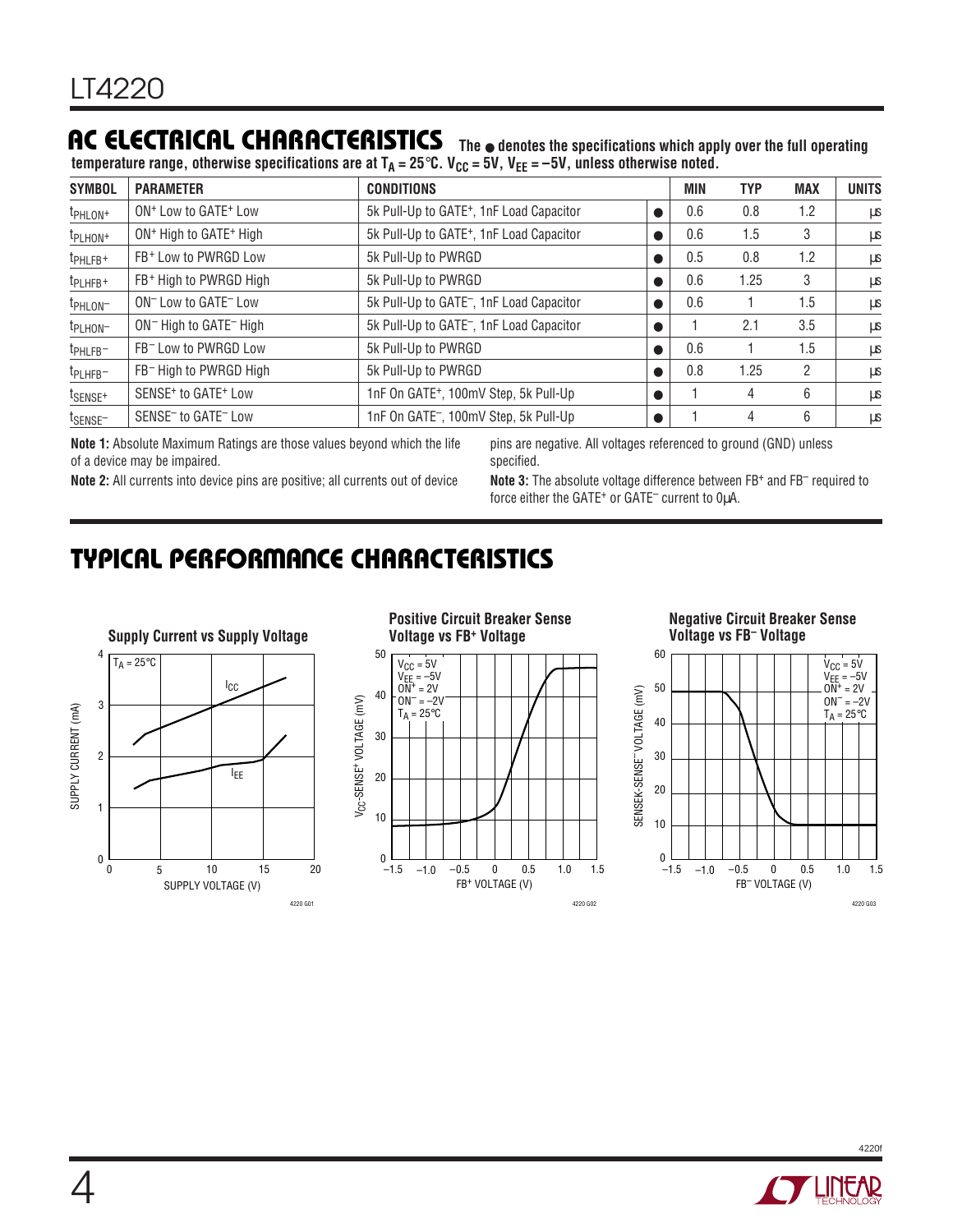## **AC ELECTRICAL CHARACTERISTICS**

temperature range, otherwise specifications are at T<sub>A</sub> = 25°C. V<sub>CC</sub> = 5V, V<sub>EE</sub> = –5V, unless otherwise noted.

| <b>SYMBOL</b>        | <b>PARAMETER</b>                               | <b>CONDITIONS</b>                                    |           | <b>MIN</b> | <b>TYP</b> | <b>MAX</b> | <b>UNITS</b> |
|----------------------|------------------------------------------------|------------------------------------------------------|-----------|------------|------------|------------|--------------|
| t <sub>PHLON+</sub>  | ON <sup>+</sup> Low to GATE <sup>+</sup> Low   | 5k Pull-Up to GATE <sup>+</sup> , 1nF Load Capacitor | $\bullet$ | 0.6        | 0.8        | 1.2        | μS           |
| t <sub>PLHON</sub> + | ON <sup>+</sup> High to GATE <sup>+</sup> High | 5k Pull-Up to GATE <sup>+</sup> , 1nF Load Capacitor | $\bullet$ | 0.6        | 1.5        | 3          | μS           |
| t <sub>PHLFB+</sub>  | FB <sup>+</sup> Low to PWRGD Low               | 5k Pull-Up to PWRGD                                  |           | 0.5        | 0.8        | 1.2        | μS           |
| t <sub>PLHFB+</sub>  | FB <sup>+</sup> High to PWRGD High             | 5k Pull-Up to PWRGD                                  | $\bullet$ | 0.6        | 1.25       | 3          | μS           |
| t <sub>PHLON</sub> - | ON <sup>-</sup> Low to GATE <sup>-</sup> Low   | 5k Pull-Up to GATE <sup>-</sup> , 1nF Load Capacitor | $\bullet$ | 0.6        |            | 1.5        | μS           |
| t <sub>PLHON</sub> - | ON <sup>-</sup> High to GATE <sup>-</sup> High | 5k Pull-Up to GATE <sup>-</sup> , 1nF Load Capacitor |           |            | 2.1        | 3.5        | μS           |
| t <sub>PHLFB</sub> - | FB <sup>-</sup> Low to PWRGD Low               | 5k Pull-Up to PWRGD                                  | $\bullet$ | 0.6        |            | 1.5        | μS           |
| t <sub>PLHFB</sub> - | FB <sup>-</sup> High to PWRGD High             | 5k Pull-Up to PWRGD                                  |           | 0.8        | 1.25       | 2          | μS           |
| t <sub>SENSE+</sub>  | SENSE <sup>+</sup> to GATE <sup>+</sup> Low    | 1nF On GATE <sup>+</sup> , 100mV Step, 5k Pull-Up    |           |            | 4          | 6          | μS           |
| t <sub>SENSE</sub> - | SENSE <sup>-</sup> to GATE <sup>-</sup> Low    | 1nF On GATE <sup>-</sup> , 100mV Step, 5k Pull-Up    |           |            | 4          | 6          | μS           |

**Note 1:** Absolute Maximum Ratings are those values beyond which the life of a device may be impaired.

pins are negative. All voltages referenced to ground (GND) unless specified.

**The** ● **denotes the specifications which apply over the full operating**

**Note 2:** All currents into device pins are positive; all currents out of device

**Note 3:** The absolute voltage difference between FB+ and FB– required to force either the GATE<sup>+</sup> or GATE<sup>-</sup> current to 0µA.

### **TYPICAL PERFORMANCE CHARACTERISTICS**





# **Negative Circuit Breaker Sense**



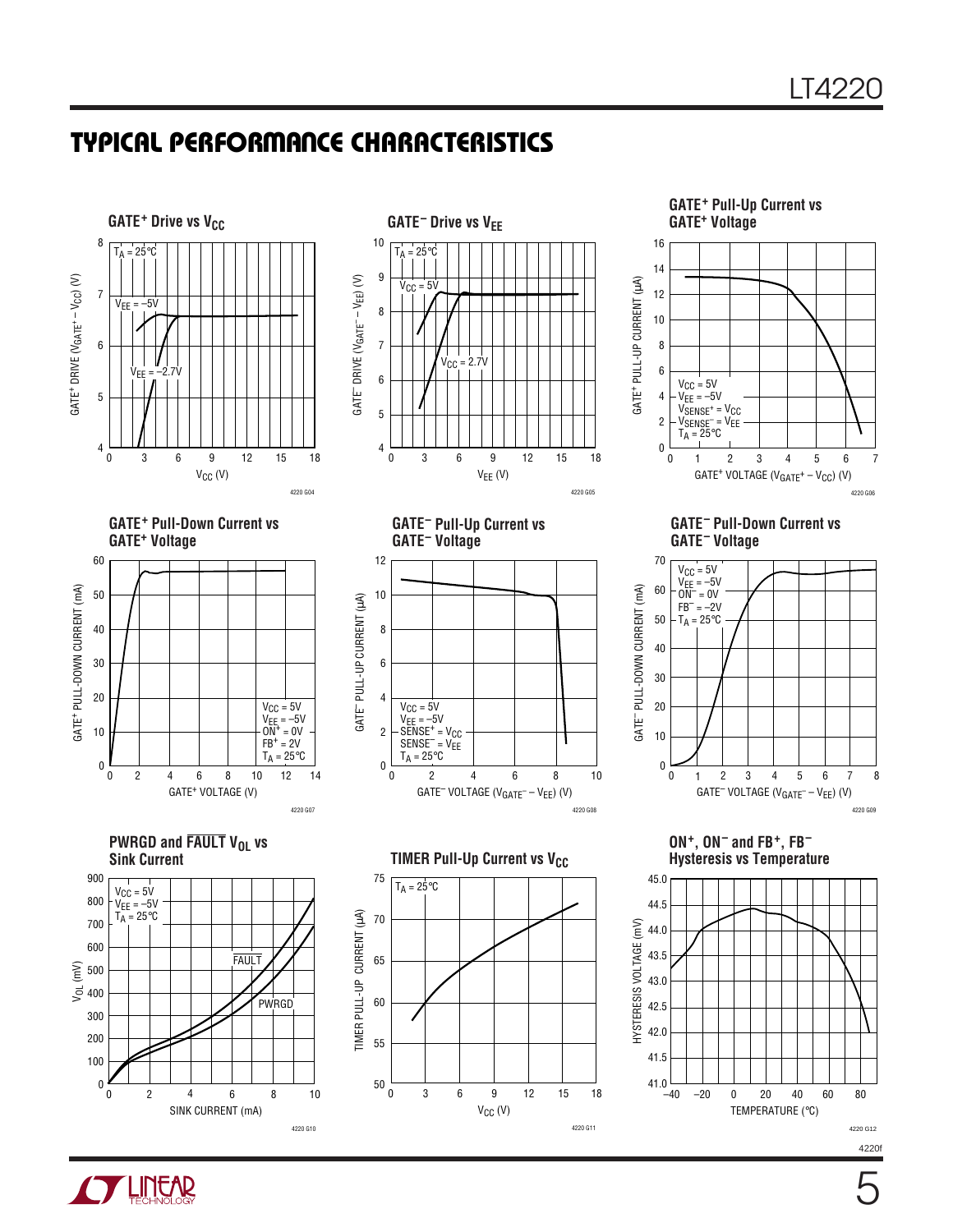### **TYPICAL PERFORMANCE CHARACTERISTICS**







**PWRGD and FAULT V<sub>OL</sub> vs Sink Current**





**GATE– Pull-Up Current vs GATE– Voltage**



**TIMER Pull-Up Current vs V<sub>CC</sub>** 

75

 $T_A = 25^{\circ}C$ 

70

65

60

TIMER PULL-UP CURRENT (µA)

TIMER PULL-UP CURRENT (µA)

55

50

 $V_{CC}$  (V) 0 6 9 12 15 18 3

4220 G11

**GATE+ Pull-Up Current vs** 16 14 GATE<sup>+</sup> PULL-UP CURRENT (µA) GATE+ PULL-UP CURRENT (µA) 12 10 8 6  $V_{CC} = 5V$  $V_{EE} = -5V$ 4  $V_{\text{SENSE}^+}$  =  $V_{\text{CC}}$ 2 VSENSE– = VEE  $T_A = 25^{\circ}C$ 0  $\pmb{0}$ 2 4 6 1 2 3 4 5 6 7 GATE<sup>+</sup> VOLTAGE ( $V_{GATE}$ + –  $V_{CC}$ ) (V) 4220 G06

**GATE– Pull-Down Current vs GATE– Voltage**



**ON+, ON– and FB+, FB– Hysteresis vs Temperature**



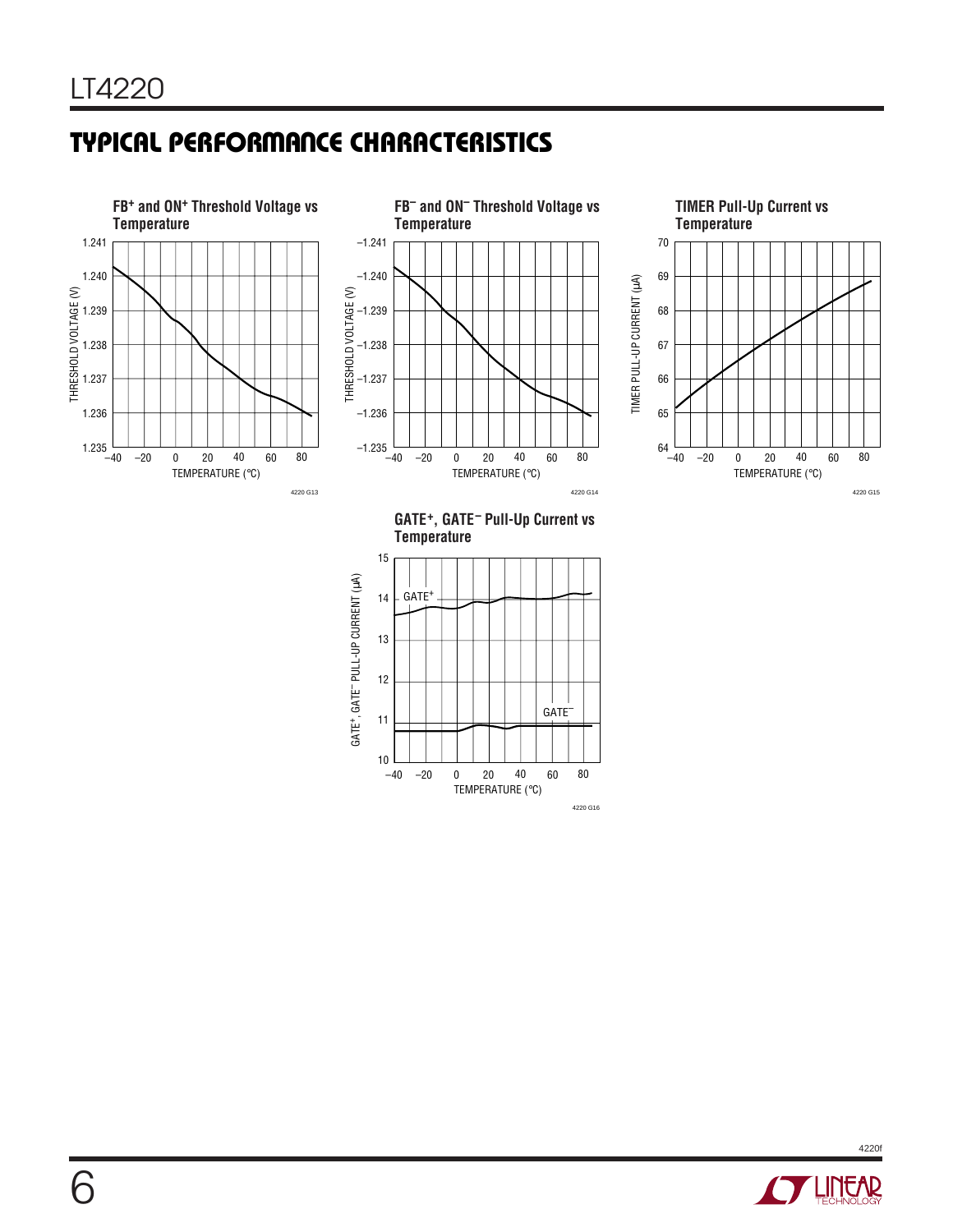# **TYPICAL PERFORMANCE CHARACTERISTICS**







**GATE+, GATE– Pull-Up Current vs Temperature**



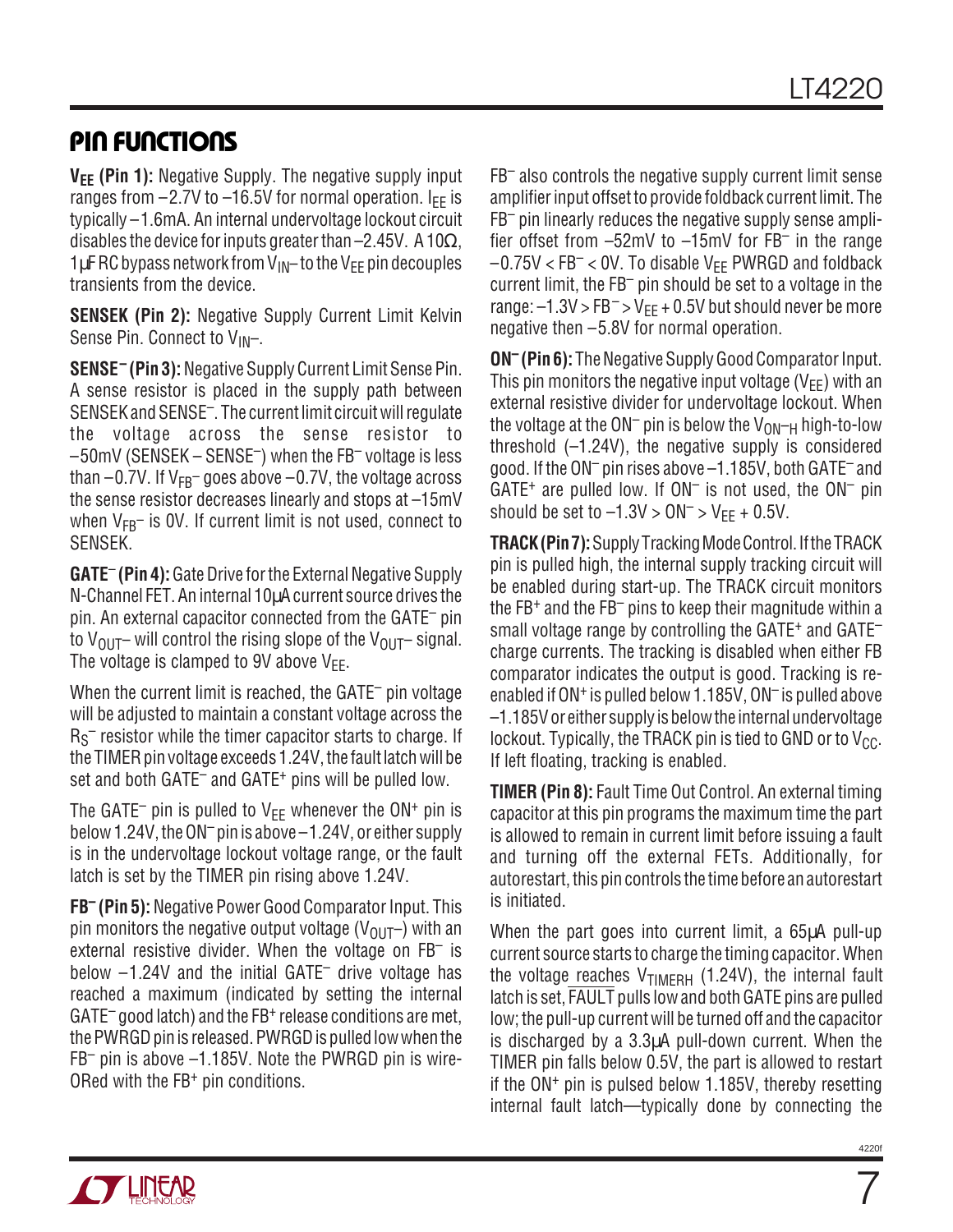## **PIN FUNCTIONS**

**V<sub>EE</sub>** (Pin 1): Negative Supply. The negative supply input ranges from  $-2.7V$  to  $-16.5V$  for normal operation. I<sub>FF</sub> is typically –1.6mA. An internal undervoltage lockout circuit disables the device for inputs greater than –2.45V. A 10 $\Omega$ , 1 $\mu$ F RC bypass network from V<sub>IN</sub>– to the V<sub>EE</sub> pin decouples transients from the device.

**SENSEK (Pin 2):** Negative Supply Current Limit Kelvin Sense Pin. Connect to  $V_{IN}$ -.

**SENSE– (Pin 3):** Negative Supply Current Limit Sense Pin. A sense resistor is placed in the supply path between SENSEK and SENSE–. The current limit circuit will regulate the voltage across the sense resistor to –50mV (SENSEK – SENSE–) when the FB– voltage is less than  $-0.7V$ . If  $V_{FB}$  goes above  $-0.7V$ , the voltage across the sense resistor decreases linearly and stops at –15mV when  $V_{FB}$  is OV. If current limit is not used, connect to SENSEK.

**GATE**– **(Pin 4):** Gate Drive for the External Negative Supply N-Channel FET. An internal 10µA current source drives the pin. An external capacitor connected from the GATE– pin to  $V_{\text{OUT}}$  will control the rising slope of the  $V_{\text{OUT}}$  signal. The voltage is clamped to 9V above  $V_{FF}$ .

When the current limit is reached, the GATE<sup>-</sup> pin voltage will be adjusted to maintain a constant voltage across the  $\rm\,R_S^{\small -}$  resistor while the timer capacitor starts to charge. If the TIMER pin voltage exceeds 1.24V, the fault latch will be set and both GATE<sup>-</sup> and GATE<sup>+</sup> pins will be pulled low.

The GATE<sup>-</sup> pin is pulled to  $V_{EE}$  whenever the ON<sup>+</sup> pin is below 1.24V, the ON– pin is above –1.24V, or either supply is in the undervoltage lockout voltage range, or the fault latch is set by the TIMER pin rising above 1.24V.

**FB– (Pin 5):** Negative Power Good Comparator Input. This pin monitors the negative output voltage ( $V_{OUT}$ ) with an external resistive divider. When the voltage on  $FB^-$  is below  $-1.24V$  and the initial GATE<sup>-</sup> drive voltage has reached a maximum (indicated by setting the internal GATE– good latch) and the FB+ release conditions are met, the PWRGD pin is released. PWRGD is pulled low when the FB– pin is above –1.185V. Note the PWRGD pin is wire-ORed with the FB+ pin conditions.

FB– also controls the negative supply current limit sense amplifier input offset to provide foldback current limit. The FB– pin linearly reduces the negative supply sense amplifier offset from –52mV to –15mV for FB– in the range  $-0.75V < FB^{-} < 0V$ . To disable V<sub>EE</sub> PWRGD and foldback current limit, the FB– pin should be set to a voltage in the range:  $-1.3V > FB^{-}$  > V<sub>EE</sub> + 0.5V but should never be more negative then –5.8V for normal operation.

**ON– (Pin 6):** The Negative Supply Good Comparator Input. This pin monitors the negative input voltage ( $V_{FF}$ ) with an external resistive divider for undervoltage lockout. When the voltage at the ON<sup>-</sup> pin is below the  $V_{ON-H}$  high-to-low threshold  $(-1.24V)$ , the negative supply is considered good. If the ON– pin rises above –1.185V, both GATE– and  $GATE<sup>+</sup>$  are pulled low. If  $ON<sup>-</sup>$  is not used, the  $ON<sup>-</sup>$  pin should be set to  $-1.3V > ON^{-} > V_{EE} + 0.5V$ .

**TRACK (Pin 7):** Supply Tracking Mode Control. If the TRACK pin is pulled high, the internal supply tracking circuit will be enabled during start-up. The TRACK circuit monitors the  $FB<sup>+</sup>$  and the  $FB<sup>-</sup>$  pins to keep their magnitude within a small voltage range by controlling the GATE<sup>+</sup> and GATE<sup>-</sup> charge currents. The tracking is disabled when either FB comparator indicates the output is good. Tracking is reenabled if ON<sup>+</sup> is pulled below 1.185V, ON<sup>-</sup> is pulled above –1.185V or either supply is below the internal undervoltage lockout. Typically, the TRACK pin is tied to GND or to  $V_{CC}$ . If left floating, tracking is enabled.

**TIMER (Pin 8):** Fault Time Out Control. An external timing capacitor at this pin programs the maximum time the part is allowed to remain in current limit before issuing a fault and turning off the external FETs. Additionally, for autorestart, this pin controls the time before an autorestart is initiated.

When the part goes into current limit, a 65µA pull-up current source starts to charge the timing capacitor. When the voltage reaches  $V_{\text{TIMERH}}$  (1.24V), the internal fault latch is set, FAULT pulls low and both GATE pins are pulled low; the pull-up current will be turned off and the capacitor is discharged by a 3.3µA pull-down current. When the TIMER pin falls below 0.5V, the part is allowed to restart if the ON+ pin is pulsed below 1.185V, thereby resetting internal fault latch—typically done by connecting the



7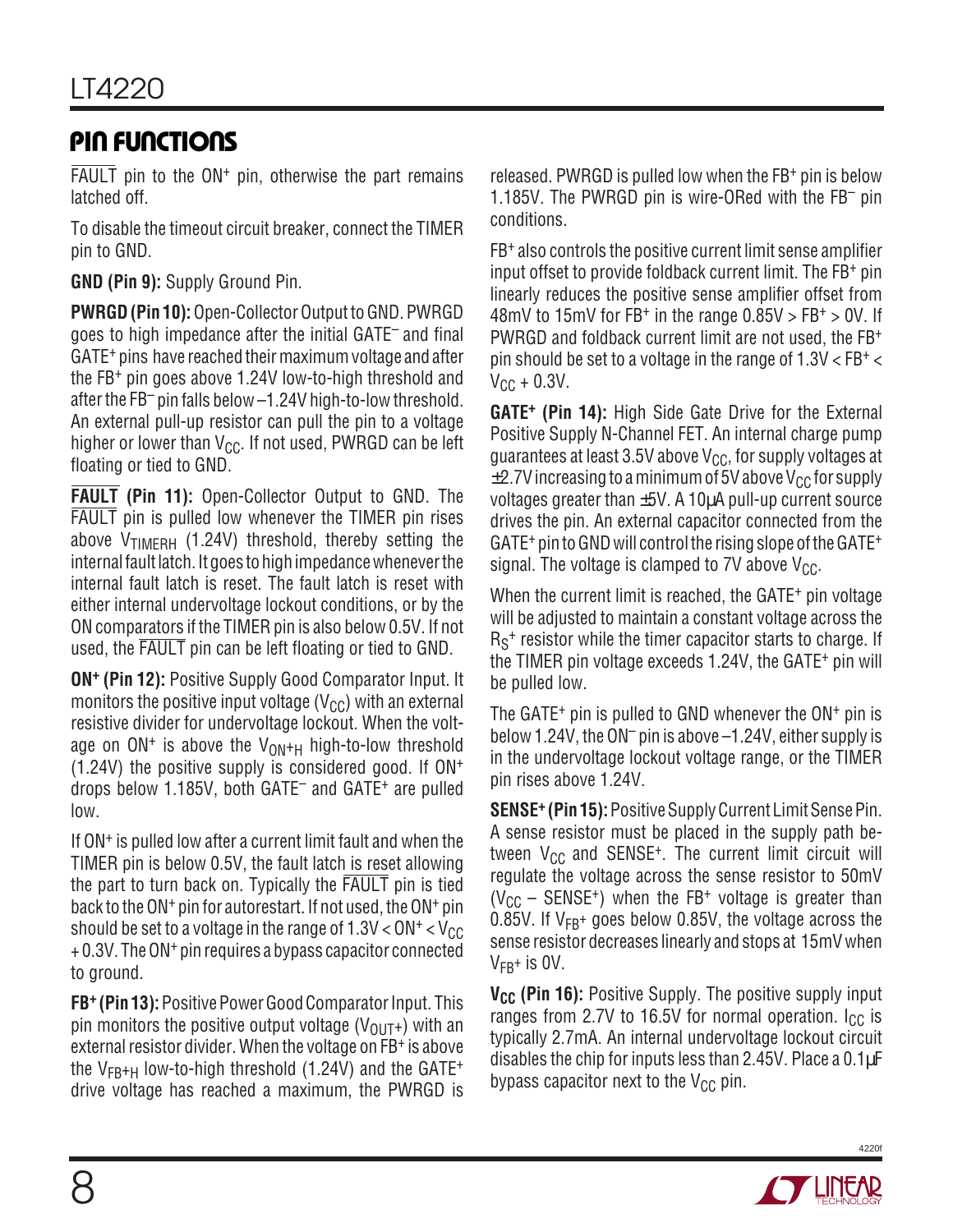# **U U U PI FU CTIO S**

FAULT pin to the  $ON<sup>+</sup>$  pin, otherwise the part remains latched off.

To disable the timeout circuit breaker, connect the TIMER pin to GND.

**GND (Pin 9):** Supply Ground Pin.

**PWRGD (Pin 10):** Open-Collector Output to GND. PWRGD goes to high impedance after the initial GATE– and final GATE+ pins have reached their maximum voltage and after the FB+ pin goes above 1.24V low-to-high threshold and after the FB– pin falls below –1.24V high-to-low threshold. An external pull-up resistor can pull the pin to a voltage higher or lower than  $V_{CC}$ . If not used, PWRGD can be left floating or tied to GND.

**FAULT (Pin 11):** Open-Collector Output to GND. The FAULT pin is pulled low whenever the TIMER pin rises above  $V_{\text{TIMFRH}}$  (1.24V) threshold, thereby setting the internal fault latch. It goes to high impedance whenever the internal fault latch is reset. The fault latch is reset with either internal undervoltage lockout conditions, or by the ON comparators if the TIMER pin is also below 0.5V. If not used, the FAULT pin can be left floating or tied to GND.

**ON+ (Pin 12):** Positive Supply Good Comparator Input. It monitors the positive input voltage ( $V_{CC}$ ) with an external resistive divider for undervoltage lockout. When the voltage on  $ON^+$  is above the  $V_{ON^+H}$  high-to-low threshold (1.24V) the positive supply is considered good. If ON+ drops below 1.185V, both GATE– and GATE+ are pulled low.

If ON+ is pulled low after a current limit fault and when the TIMER pin is below 0.5V, the fault latch is reset allowing the part to turn back on. Typically the FAULT pin is tied back to the ON+ pin for autorestart. If not used, the ON+ pin should be set to a voltage in the range of  $1.3V < ON<sup>+</sup> < V<sub>CC</sub>$ + 0.3V. The ON+ pin requires a bypass capacitor connected to ground.

**FB+ (Pin 13):** Positive Power Good Comparator Input. This pin monitors the positive output voltage ( $V_{\text{OUT}}$ +) with an external resistor divider. When the voltage on FB+ is above the  $V_{FB+H}$  low-to-high threshold (1.24V) and the GATE<sup>+</sup> drive voltage has reached a maximum, the PWRGD is released. PWRGD is pulled low when the FB+ pin is below 1.185V. The PWRGD pin is wire-ORed with the FB– pin conditions.

FB+ also controls the positive current limit sense amplifier input offset to provide foldback current limit. The FB+ pin linearly reduces the positive sense amplifier offset from 48mV to 15mV for FB<sup>+</sup> in the range  $0.85V > FB<sup>+</sup> > 0V$ . If PWRGD and foldback current limit are not used, the FB+ pin should be set to a voltage in the range of  $1.3V < FB<sup>+</sup>$  $V_{\text{CC}} + 0.3V$ .

**GATE+ (Pin 14):** High Side Gate Drive for the External Positive Supply N-Channel FET. An internal charge pump guarantees at least 3.5V above  $V_{CC}$ , for supply voltages at  $\pm$ 2.7V increasing to a minimum of 5V above V<sub>CC</sub> for supply voltages greater than ±5V. A 10µA pull-up current source drives the pin. An external capacitor connected from the GATE+ pin to GND will control the rising slope of the GATE+ signal. The voltage is clamped to 7V above  $V_{CC}$ .

When the current limit is reached, the GATE<sup>+</sup> pin voltage will be adjusted to maintain a constant voltage across the  $R_S^+$  resistor while the timer capacitor starts to charge. If the TIMER pin voltage exceeds 1.24V, the GATE+ pin will be pulled low.

The GATE<sup> $+$ </sup> pin is pulled to GND whenever the  $ON<sup>+</sup>$  pin is below 1.24V, the ON– pin is above –1.24V, either supply is in the undervoltage lockout voltage range, or the TIMER pin rises above 1.24V.

**SENSE+ (Pin 15):** Positive Supply Current Limit Sense Pin. A sense resistor must be placed in the supply path between  $V_{CC}$  and SENSE<sup>+</sup>. The current limit circuit will regulate the voltage across the sense resistor to 50mV  $(V_{CC}$  – SENSE<sup>+</sup>) when the FB<sup>+</sup> voltage is greater than 0.85V. If  $V_{FB}$ + goes below 0.85V, the voltage across the sense resistor decreases linearly and stops at 15mV when  $V_{FR}$ + is 0V.

**V<sub>CC</sub>** (Pin 16): Positive Supply. The positive supply input ranges from 2.7V to 16.5V for normal operation.  $I_{CC}$  is typically 2.7mA. An internal undervoltage lockout circuit disables the chip for inputs less than 2.45V. Place a 0.1µF bypass capacitor next to the  $V_{CC}$  pin.

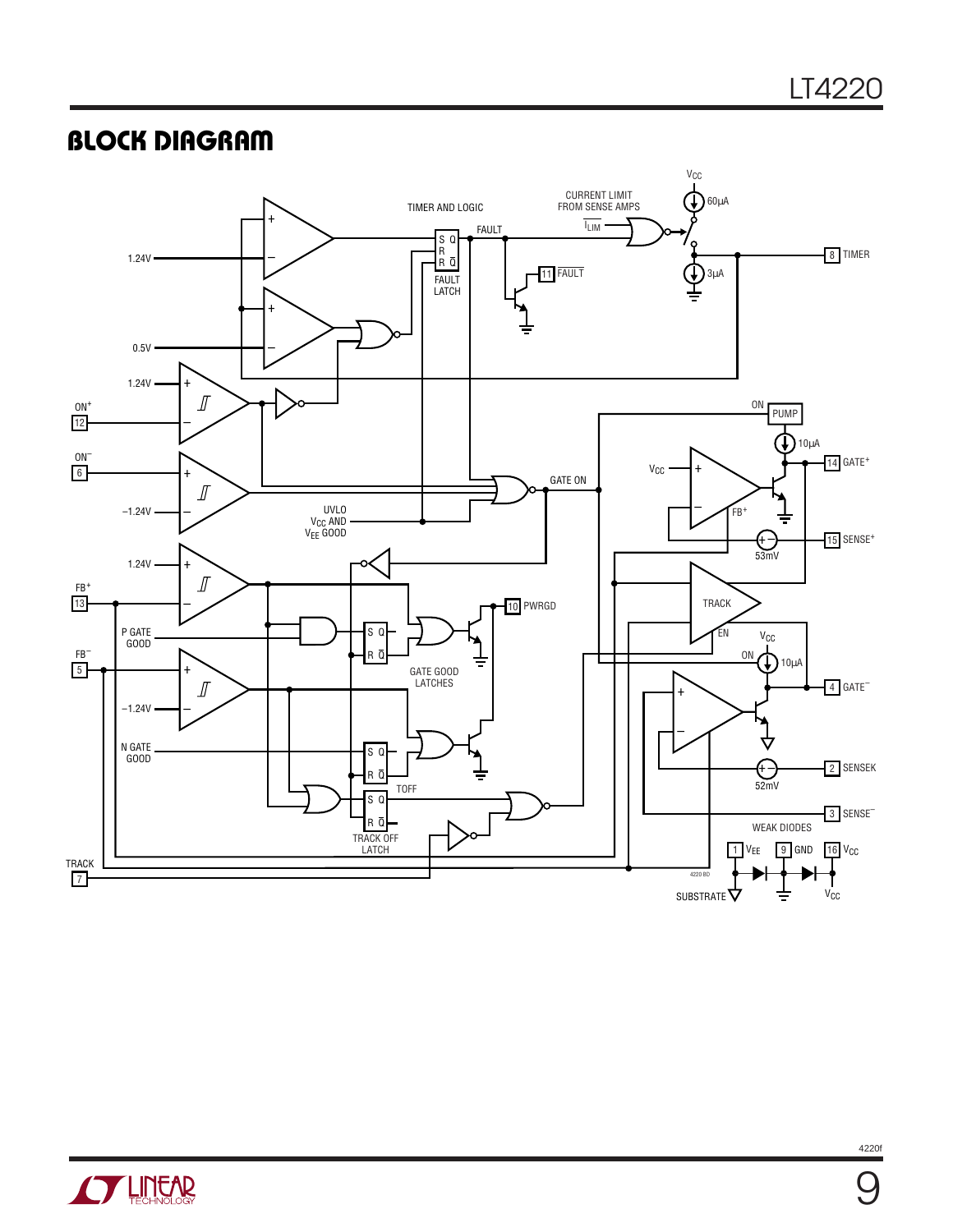### **BLOCK DIAGRAM**





9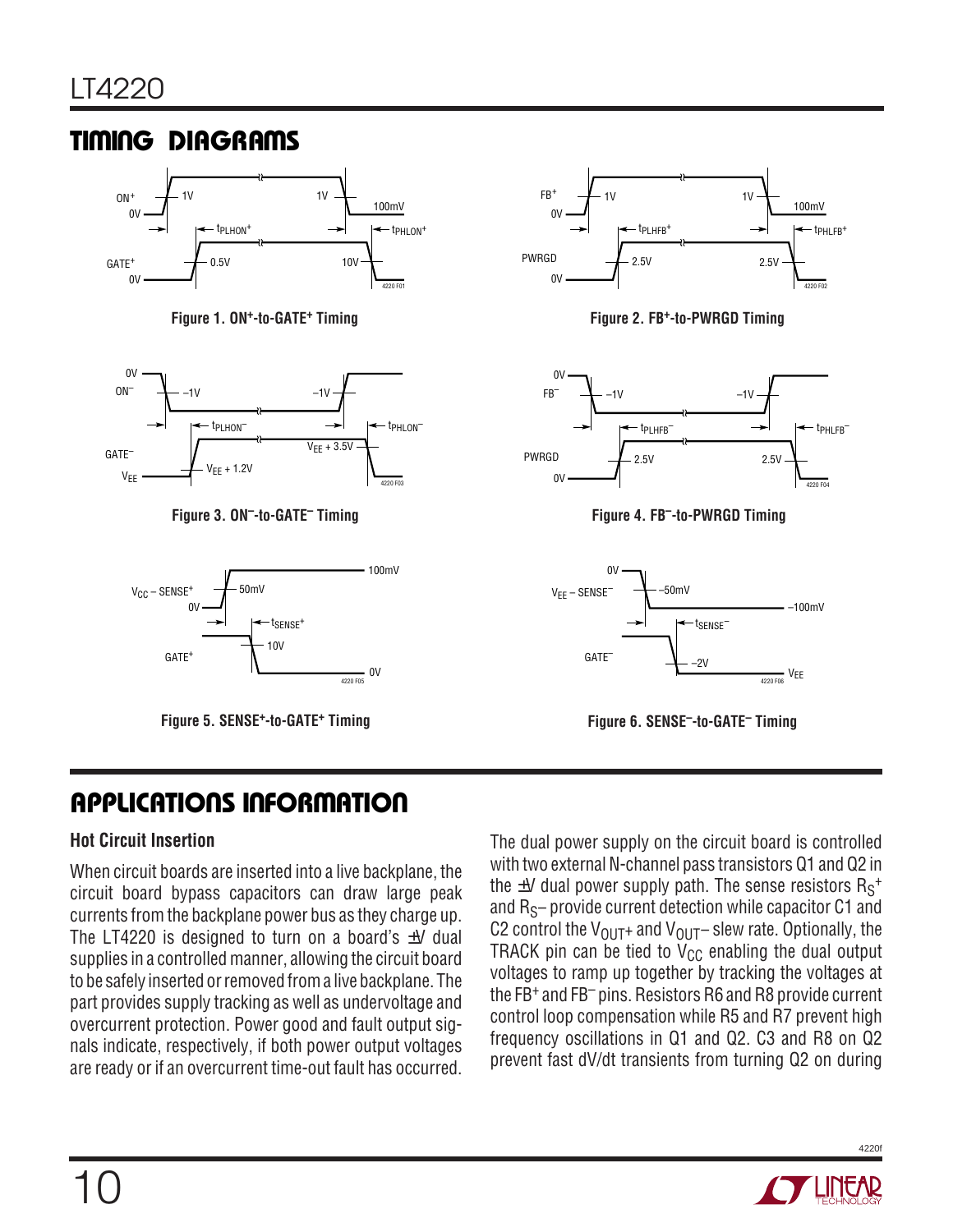# **TIMING DIAGRAMS**









**Figure 1. ON<sup>+</sup>-to-GATE<sup>+</sup> Timing Figure 2. Figure 2. FB<sup>+</sup>-to-PWRGD Timing** 



Figure 3. ON<sup>--</sup>to-GATE<sup>-</sup> Timing **Figure 4. Formula** Figure 4. FB<sup>-</sup>-to-PWRGD Timing



**Figure 5. SENSE+-to-GATE+ Timing Figure 6. SENSE–-to-GATE– Timing**

# **APPLICATIONS INFORMATION**

### **Hot Circuit Insertion**

When circuit boards are inserted into a live backplane, the circuit board bypass capacitors can draw large peak currents from the backplane power bus as they charge up. The LT4220 is designed to turn on a board's  $\pm V$  dual supplies in a controlled manner, allowing the circuit board to be safely inserted or removed from a live backplane. The part provides supply tracking as well as undervoltage and overcurrent protection. Power good and fault output signals indicate, respectively, if both power output voltages are ready or if an overcurrent time-out fault has occurred.

The dual power supply on the circuit board is controlled with two external N-channel pass transistors Q1 and Q2 in the  $\pm$ V dual power supply path. The sense resistors  $\mathsf{R}_\mathsf{S}^+$ and  $R_S$ – provide current detection while capacitor  $C1$  and C2 control the  $V_{\text{OUT}}$ + and  $V_{\text{OUT}}$  - slew rate. Optionally, the TRACK pin can be tied to  $V_{CC}$  enabling the dual output voltages to ramp up together by tracking the voltages at the FB+ and FB– pins. Resistors R6 and R8 provide current control loop compensation while R5 and R7 prevent high frequency oscillations in Q1 and Q2. C3 and R8 on Q2 prevent fast dV/dt transients from turning Q2 on during

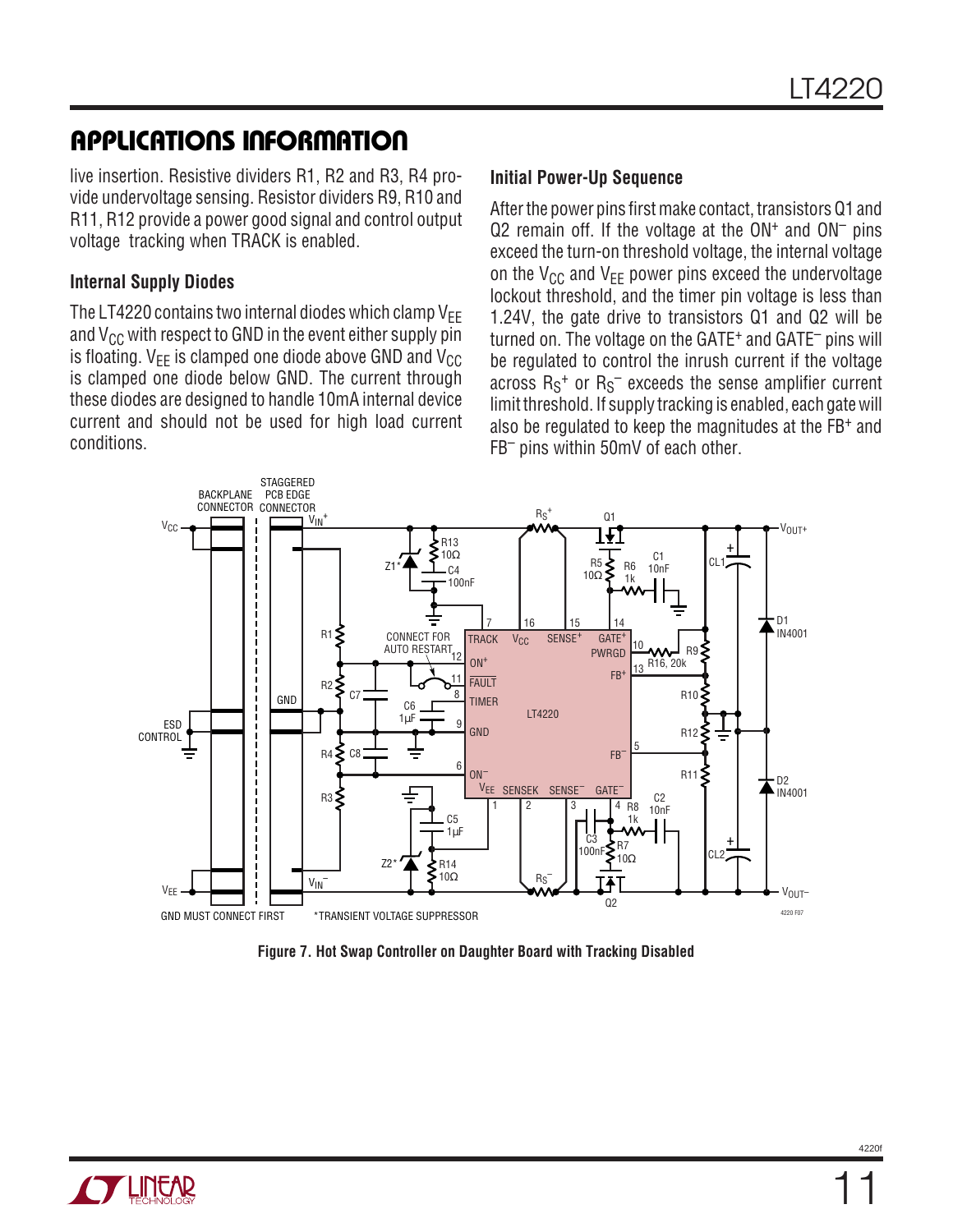live insertion. Resistive dividers R1, R2 and R3, R4 provide undervoltage sensing. Resistor dividers R9, R10 and R11, R12 provide a power good signal and control output voltage tracking when TRACK is enabled.

### **Internal Supply Diodes**

The LT4220 contains two internal diodes which clamp  $V_{FF}$ and  $V_{CC}$  with respect to GND in the event either supply pin is floating.  $V_{FF}$  is clamped one diode above GND and  $V_{CC}$ is clamped one diode below GND. The current through these diodes are designed to handle 10mA internal device current and should not be used for high load current conditions.

### **Initial Power-Up Sequence**

After the power pins first make contact, transistors Q1 and  $Q2$  remain off. If the voltage at the  $ON<sup>+</sup>$  and  $ON<sup>-</sup>$  pins exceed the turn-on threshold voltage, the internal voltage on the  $V_{CC}$  and  $V_{FE}$  power pins exceed the undervoltage lockout threshold, and the timer pin voltage is less than 1.24V, the gate drive to transistors Q1 and Q2 will be turned on. The voltage on the GATE+ and GATE– pins will be regulated to control the inrush current if the voltage across  $\mathsf{R}_\mathsf{S}^+$  or  $\mathsf{R}_\mathsf{S}^-$  exceeds the sense amplifier current limit threshold. If supply tracking is enabled, each gate will also be regulated to keep the magnitudes at the FB+ and FB– pins within 50mV of each other.



**Figure 7. Hot Swap Controller on Daughter Board with Tracking Disabled**

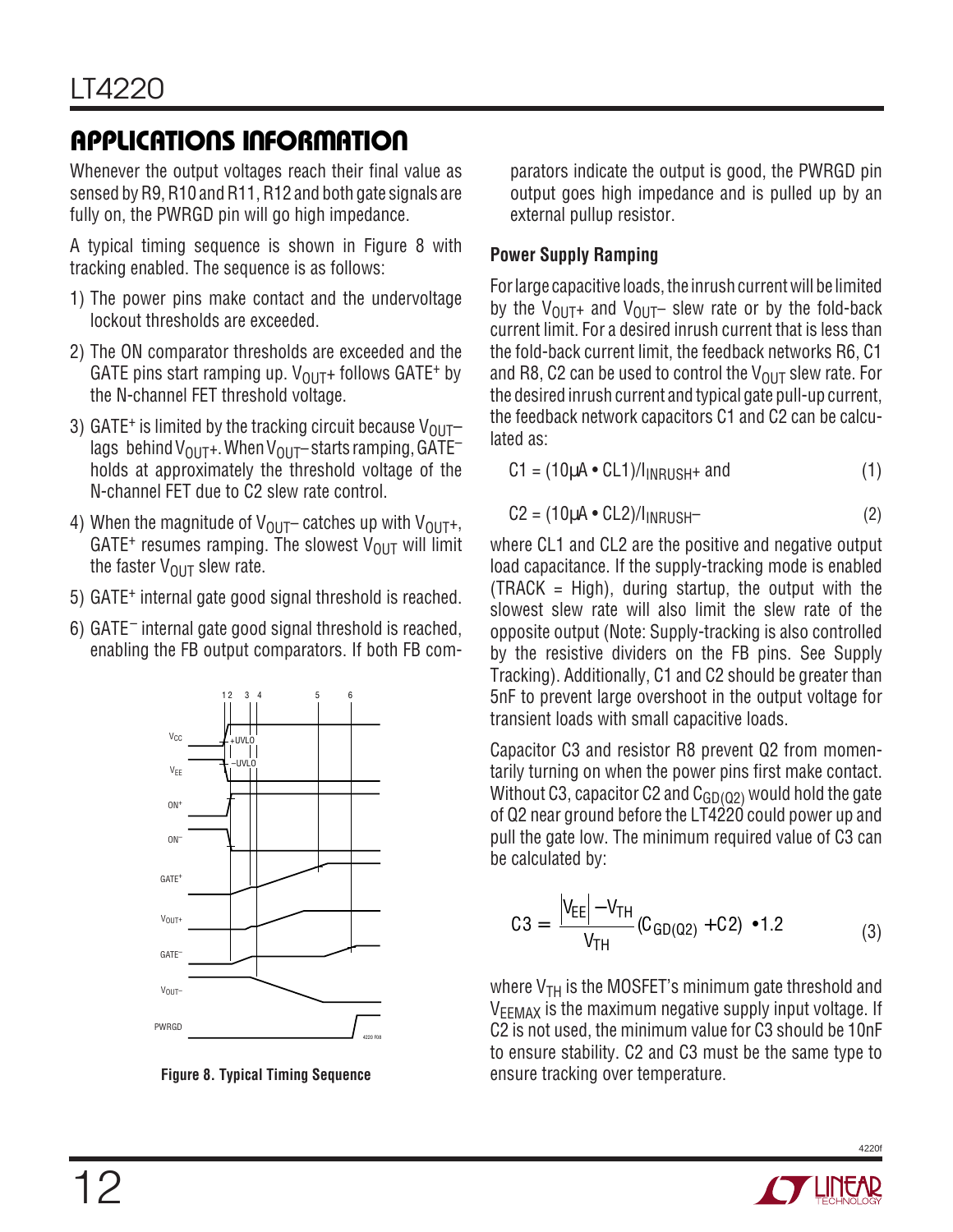Whenever the output voltages reach their final value as sensed by R9, R10 and R11, R12 and both gate signals are fully on, the PWRGD pin will go high impedance.

A typical timing sequence is shown in Figure 8 with tracking enabled. The sequence is as follows:

- 1) The power pins make contact and the undervoltage lockout thresholds are exceeded.
- 2) The ON comparator thresholds are exceeded and the GATE pins start ramping up.  $V_{\text{OUT}}$ + follows GATE<sup>+</sup> by the N-channel FET threshold voltage.
- 3) GATE<sup>+</sup> is limited by the tracking circuit because  $V_{\text{OUT}}$ lags behind  $V_{\text{OUT}}$ +. When  $V_{\text{OUT}}$  starts ramping, GATE<sup>-</sup> holds at approximately the threshold voltage of the N-channel FET due to C2 slew rate control.
- 4) When the magnitude of  $V_{\text{OUT}}$  catches up with  $V_{\text{OUT}}$ , GATE<sup>+</sup> resumes ramping. The slowest  $V_{OUT}$  will limit the faster  $V_{OUT}$  slew rate.
- 5) GATE+ internal gate good signal threshold is reached.
- 6) GATE– internal gate good signal threshold is reached, enabling the FB output comparators. If both FB com-



**Figure 8. Typical Timing Sequence**

parators indicate the output is good, the PWRGD pin output goes high impedance and is pulled up by an external pullup resistor.

### **Power Supply Ramping**

For large capacitive loads, the inrush current will be limited by the  $V_{\text{OUT}}$ + and  $V_{\text{OUT}}$  slew rate or by the fold-back current limit. For a desired inrush current that is less than the fold-back current limit, the feedback networks R6, C1 and R8, C2 can be used to control the  $V_{\text{OUT}}$  slew rate. For the desired inrush current and typical gate pull-up current, the feedback network capacitors C1 and C2 can be calculated as:

$$
C1 = (10\mu A \cdot CL1) / I_{INRUSH} + \text{and} \tag{1}
$$

$$
C2 = (10\mu A \cdot CL2) / I_{INRUSH} \tag{2}
$$

where CL1 and CL2 are the positive and negative output load capacitance. If the supply-tracking mode is enabled  $(TRACK = High)$ , during startup, the output with the slowest slew rate will also limit the slew rate of the opposite output (Note: Supply-tracking is also controlled by the resistive dividers on the FB pins. See Supply Tracking). Additionally, C1 and C2 should be greater than 5nF to prevent large overshoot in the output voltage for transient loads with small capacitive loads.

Capacitor C3 and resistor R8 prevent Q2 from momentarily turning on when the power pins first make contact. Without C3, capacitor C2 and  $C_{GD(02)}$  would hold the gate of Q2 near ground before the LT4220 could power up and pull the gate low. The minimum required value of C3 can be calculated by:

$$
C3 = \left[\frac{|V_{EE}| - V_{TH}}{V_{TH}}(C_{GD(Q2)} + C2)\right] \cdot 1.2
$$
 (3)

where  $V_{TH}$  is the MOSFET's minimum gate threshold and V<sub>EEMAX</sub> is the maximum negative supply input voltage. If C2 is not used, the minimum value for C3 should be 10nF to ensure stability. C2 and C3 must be the same type to ensure tracking over temperature.

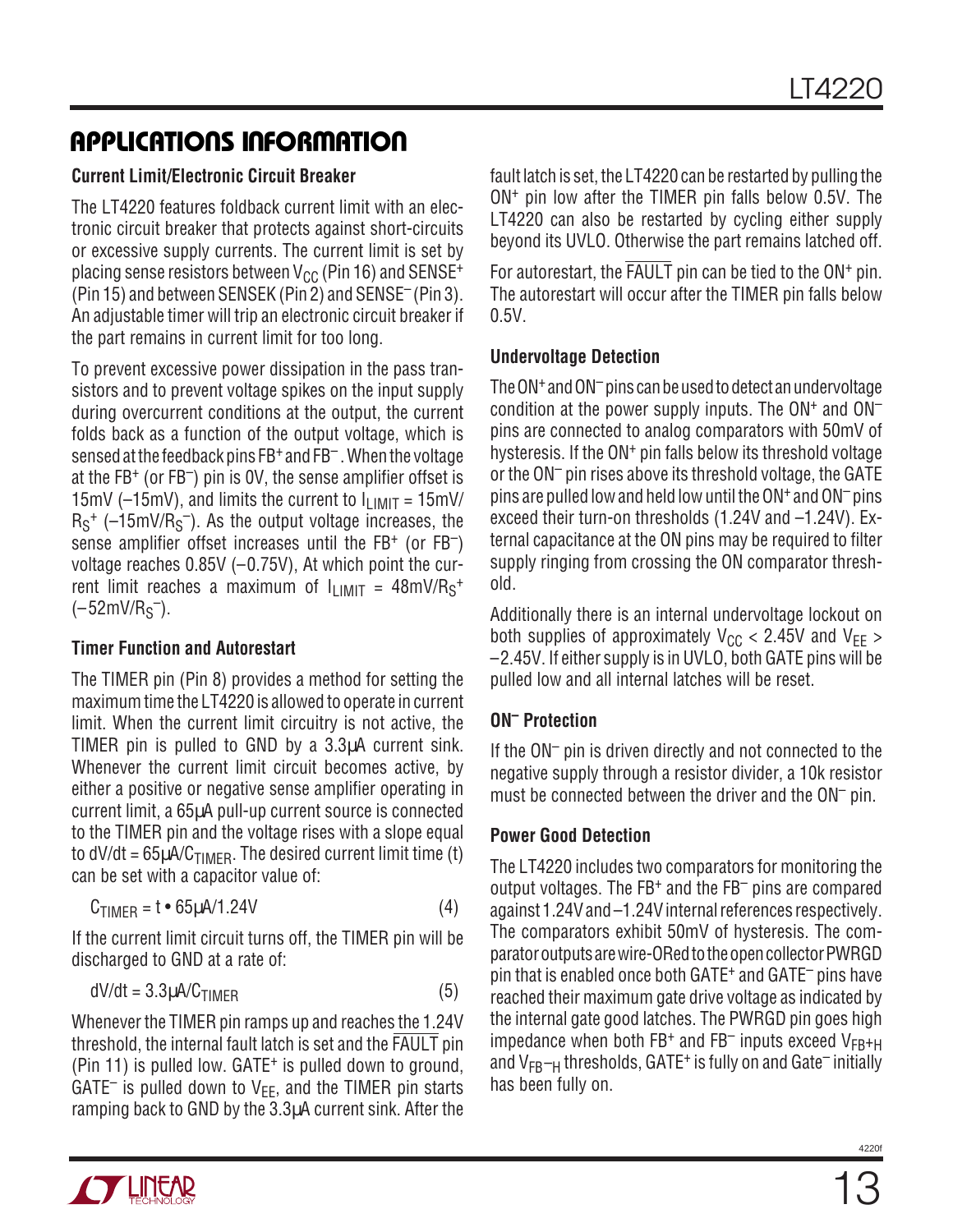### **Current Limit/Electronic Circuit Breaker**

The LT4220 features foldback current limit with an electronic circuit breaker that protects against short-circuits or excessive supply currents. The current limit is set by placing sense resistors between  $V_{CC}$  (Pin 16) and SENSE<sup>+</sup> (Pin 15) and between SENSEK (Pin 2) and SENSE– (Pin 3). An adjustable timer will trip an electronic circuit breaker if the part remains in current limit for too long.

To prevent excessive power dissipation in the pass transistors and to prevent voltage spikes on the input supply during overcurrent conditions at the output, the current folds back as a function of the output voltage, which is sensed at the feedback pins FB+ and FB– . When the voltage at the FB+ (or FB–) pin is 0V, the sense amplifier offset is 15mV ( $-15$ mV), and limits the current to  $I<sub>LIMIT</sub> = 15$ mV/  $R_S^+$  ( $-15$ mV/ $R_S^-$ ). As the output voltage increases, the sense amplifier offset increases until the FB<sup>+</sup> (or FB<sup>-</sup>) voltage reaches 0.85V (–0.75V), At which point the current limit reaches a maximum of  $I_{LIMIT} = 48 \text{mV/Rs}^+$  $(-52mV/R<sub>S</sub><sup>-</sup>).$ 

### **Timer Function and Autorestart**

The TIMER pin (Pin 8) provides a method for setting the maximum time the LT4220 is allowed to operate in current limit. When the current limit circuitry is not active, the TIMER pin is pulled to GND by a 3.3µA current sink. Whenever the current limit circuit becomes active, by either a positive or negative sense amplifier operating in current limit, a 65µA pull-up current source is connected to the TIMER pin and the voltage rises with a slope equal to  $dV/dt = 65 \mu A/C_{TIMFR}$ . The desired current limit time (t) can be set with a capacitor value of:

$$
C_{\text{TIMER}} = t \cdot 65 \mu \text{A/1.24V} \tag{4}
$$

If the current limit circuit turns off, the TIMER pin will be discharged to GND at a rate of:

$$
dV/dt = 3.3 \mu A/C_{\text{TIMER}} \tag{5}
$$

Whenever the TIMER pin ramps up and reaches the 1.24V threshold, the internal fault latch is set and the FAULT pin (Pin 11) is pulled low. GATE+ is pulled down to ground, GATE<sup>-</sup> is pulled down to  $V_{FF}$ , and the TIMER pin starts ramping back to GND by the 3.3µA current sink. After the

fault latch is set, the LT4220 can be restarted by pulling the ON+ pin low after the TIMER pin falls below 0.5V. The LT4220 can also be restarted by cycling either supply beyond its UVLO. Otherwise the part remains latched off.

For autorestart, the FAULT pin can be tied to the ON<sup>+</sup> pin. The autorestart will occur after the TIMER pin falls below  $0.5V$ 

### **Undervoltage Detection**

The ON+ and ON– pins can be used to detect an undervoltage condition at the power supply inputs. The  $ON<sup>+</sup>$  and  $ON$ pins are connected to analog comparators with 50mV of hysteresis. If the ON<sup>+</sup> pin falls below its threshold voltage or the ON– pin rises above its threshold voltage, the GATE pins are pulled low and held low until the ON+ and ON– pins exceed their turn-on thresholds (1.24V and –1.24V). External capacitance at the ON pins may be required to filter supply ringing from crossing the ON comparator threshold.

Additionally there is an internal undervoltage lockout on both supplies of approximately  $V_{CC}$  < 2.45V and  $V_{FF}$  > –2.45V. If either supply is in UVLO, both GATE pins will be pulled low and all internal latches will be reset.

### **ON– Protection**

If the ON– pin is driven directly and not connected to the negative supply through a resistor divider, a 10k resistor must be connected between the driver and the ON– pin.

### **Power Good Detection**

The LT4220 includes two comparators for monitoring the output voltages. The  $FB<sup>+</sup>$  and the  $FB<sup>-</sup>$  pins are compared against 1.24V and –1.24V internal references respectively. The comparators exhibit 50mV of hysteresis. The comparator outputs are wire-ORed to the open collector PWRGD pin that is enabled once both GATE+ and GATE– pins have reached their maximum gate drive voltage as indicated by the internal gate good latches. The PWRGD pin goes high impedance when both  $FB^+$  and  $FB^-$  inputs exceed  $V_{FB^+H}$ and  $V_{FB-H}$  thresholds, GATE<sup>+</sup> is fully on and Gate<sup>-</sup> initially has been fully on.

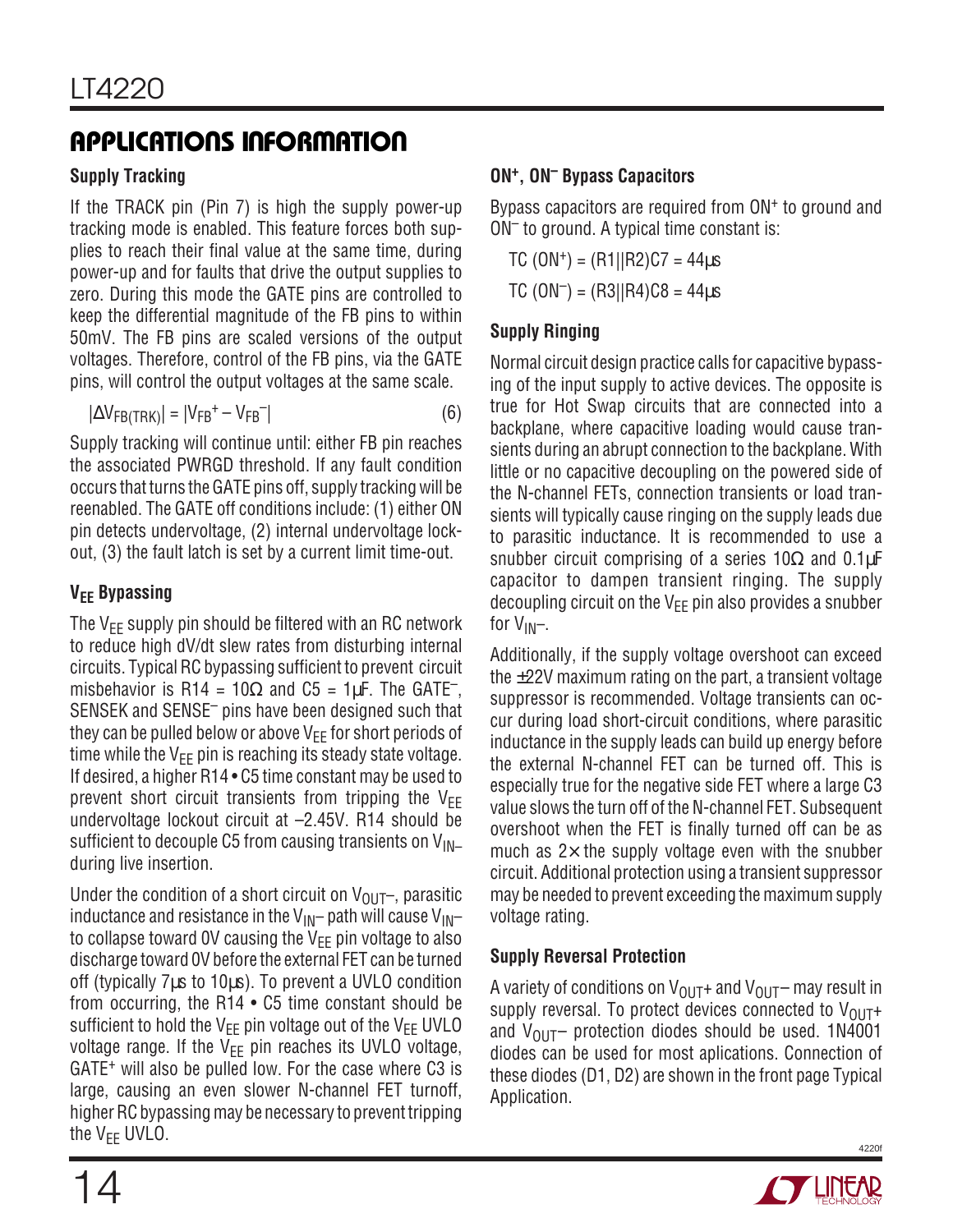### **Supply Tracking**

If the TRACK pin (Pin 7) is high the supply power-up tracking mode is enabled. This feature forces both supplies to reach their final value at the same time, during power-up and for faults that drive the output supplies to zero. During this mode the GATE pins are controlled to keep the differential magnitude of the FB pins to within 50mV. The FB pins are scaled versions of the output voltages. Therefore, control of the FB pins, via the GATE pins, will control the output voltages at the same scale.

$$
|\Delta V_{FB(TRK)}| = |V_{FB}^+ - V_{FB}^-| \tag{6}
$$

Supply tracking will continue until: either FB pin reaches the associated PWRGD threshold. If any fault condition occurs that turns the GATE pins off, supply tracking will be reenabled. The GATE off conditions include: (1) either ON pin detects undervoltage, (2) internal undervoltage lockout, (3) the fault latch is set by a current limit time-out.

### **V<sub>EE</sub>** Bypassing

The  $V_{EE}$  supply pin should be filtered with an RC network to reduce high dV/dt slew rates from disturbing internal circuits. Typical RC bypassing sufficient to prevent circuit misbehavior is R14 =  $10\Omega$  and C5 = 1µF. The GATE<sup>-</sup>, SENSEK and SENSE– pins have been designed such that they can be pulled below or above  $V_{FF}$  for short periods of time while the  $V_{EE}$  pin is reaching its steady state voltage. If desired, a higher R14 • C5 time constant may be used to prevent short circuit transients from tripping the  $V_{FF}$ undervoltage lockout circuit at –2.45V. R14 should be sufficient to decouple C5 from causing transients on  $V_{\text{IN}}$ during live insertion.

Under the condition of a short circuit on  $V_{\text{OUT}}$ , parasitic inductance and resistance in the  $V_{\text{IN}}$ – path will cause  $V_{\text{IN}}$ – to collapse toward OV causing the  $V_{FF}$  pin voltage to also discharge toward 0V before the external FET can be turned off (typically 7µs to 10µs). To prevent a UVLO condition from occurring, the R14 • C5 time constant should be sufficient to hold the  $V_{EE}$  pin voltage out of the  $V_{EE}$  UVLO voltage range. If the  $V_{EE}$  pin reaches its UVLO voltage, GATE<sup>+</sup> will also be pulled low. For the case where C3 is large, causing an even slower N-channel FET turnoff, higher RC bypassing may be necessary to prevent tripping the  $V_{FF}$  UVLO.

### **ON+, ON– Bypass Capacitors**

Bypass capacitors are required from ON<sup>+</sup> to ground and ON– to ground. A typical time constant is:

 $TC (ON<sup>+</sup>) = (R1||R2)C7 = 44<sub>u</sub>S$  $TC (ON<sup>-</sup>) = (R3||R4)C8 = 44\mu s$ 

### **Supply Ringing**

Normal circuit design practice calls for capacitive bypassing of the input supply to active devices. The opposite is true for Hot Swap circuits that are connected into a backplane, where capacitive loading would cause transients during an abrupt connection to the backplane. With little or no capacitive decoupling on the powered side of the N-channel FETs, connection transients or load transients will typically cause ringing on the supply leads due to parasitic inductance. It is recommended to use a snubber circuit comprising of a series  $10\Omega$  and  $0.1\mu$ F capacitor to dampen transient ringing. The supply decoupling circuit on the  $V_{FF}$  pin also provides a snubber for  $V_{IN}$ -.

Additionally, if the supply voltage overshoot can exceed the  $\pm$ 22V maximum rating on the part, a transient voltage suppressor is recommended. Voltage transients can occur during load short-circuit conditions, where parasitic inductance in the supply leads can build up energy before the external N-channel FET can be turned off. This is especially true for the negative side FET where a large C3 value slows the turn off of the N-channel FET. Subsequent overshoot when the FET is finally turned off can be as much as  $2\times$  the supply voltage even with the snubber circuit. Additional protection using a transient suppressor may be needed to prevent exceeding the maximum supply voltage rating.

### **Supply Reversal Protection**

A variety of conditions on  $V_{\text{OUT}}$  and  $V_{\text{OUT}}$  may result in supply reversal. To protect devices connected to  $V_{\text{OUT}}+$ and  $V_{\text{OUT}}$  protection diodes should be used. 1N4001 diodes can be used for most aplications. Connection of these diodes (D1, D2) are shown in the front page Typical Application.

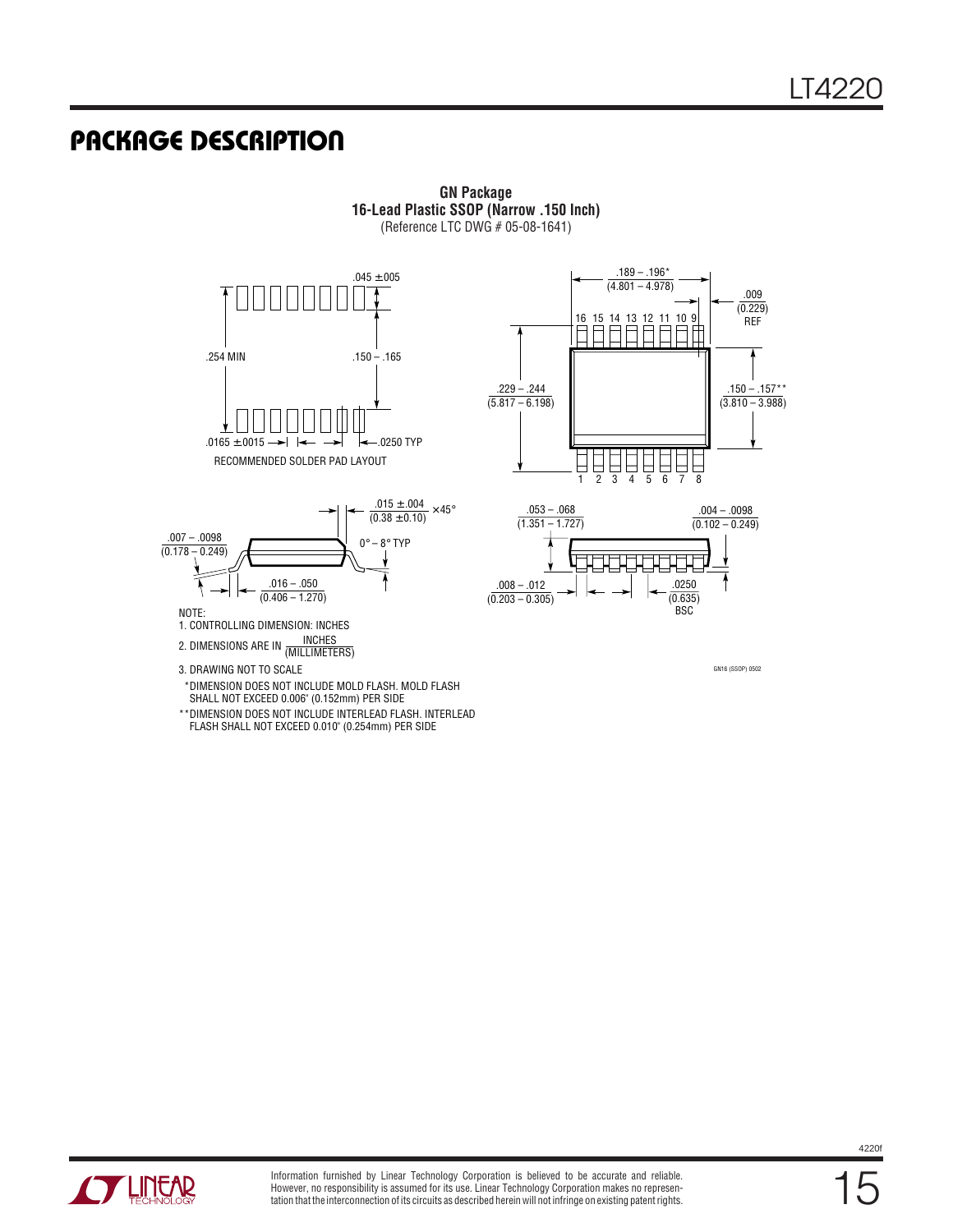### **U PACKAGE DESCRIPTIO**







**GN Package 16-Lead Plastic SSOP (Narrow .150 Inch)** (Reference LTC DWG # 05-08-1641)



GN16 (SSOP) 0502

2. DIMENSIONS ARE IN <u>INCHES</u><br>(MILLIMETERS) 3. DRAWING NOT TO SCALE

 \*DIMENSION DOES NOT INCLUDE MOLD FLASH. MOLD FLASH SHALL NOT EXCEED 0.006" (0.152mm) PER SIDE

\*\*DIMENSION DOES NOT INCLUDE INTERLEAD FLASH. INTERLEAD FLASH SHALL NOT EXCEED 0.010" (0.254mm) PER SIDE